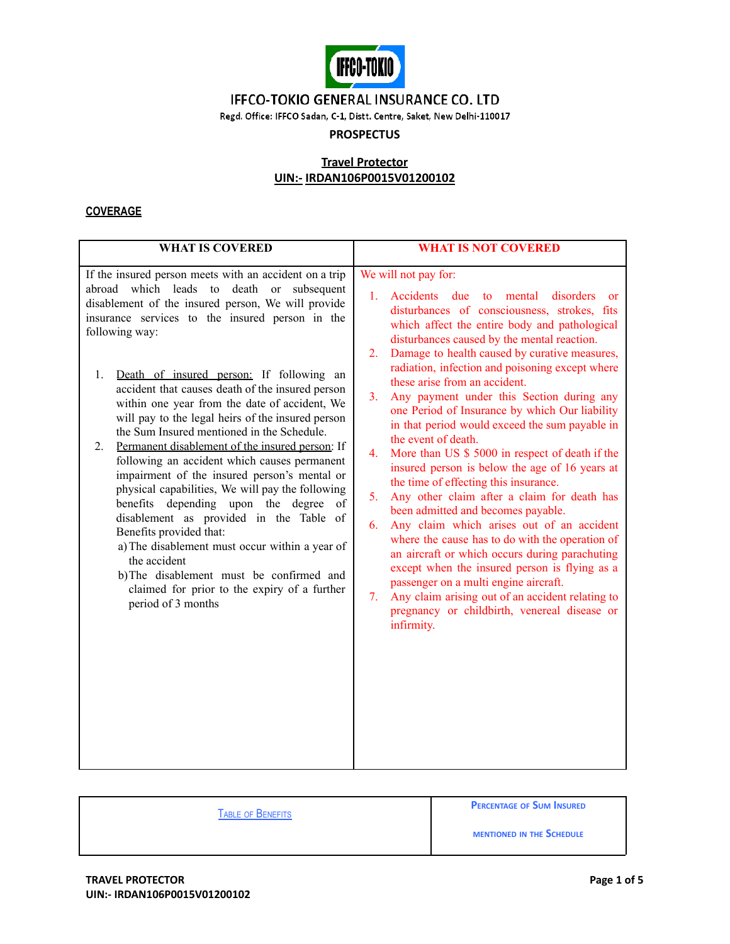

Regd. Office: IFFCO Sadan, C-1, Distt. Centre, Saket, New Delhi-110017

## **PROSPECTUS**

## **Travel Protector UIN:- IRDAN106P0015V01200102**

### **COVERAGE**

| <b>WHAT IS COVERED</b>                                                                                                                                                                                                                                                                                                                                                                                                                                                                                                                                                                                                                                                                                                                                                                                                                                                                                                                                                                                     | <b>WHAT IS NOT COVERED</b>                                                                                                                                                                                                                                                                                                                                                                                                                                                                                                                                                                                                                                                                                                                                                                                                                                                                                                                                                                                                                                                                                                                                                                                                           |
|------------------------------------------------------------------------------------------------------------------------------------------------------------------------------------------------------------------------------------------------------------------------------------------------------------------------------------------------------------------------------------------------------------------------------------------------------------------------------------------------------------------------------------------------------------------------------------------------------------------------------------------------------------------------------------------------------------------------------------------------------------------------------------------------------------------------------------------------------------------------------------------------------------------------------------------------------------------------------------------------------------|--------------------------------------------------------------------------------------------------------------------------------------------------------------------------------------------------------------------------------------------------------------------------------------------------------------------------------------------------------------------------------------------------------------------------------------------------------------------------------------------------------------------------------------------------------------------------------------------------------------------------------------------------------------------------------------------------------------------------------------------------------------------------------------------------------------------------------------------------------------------------------------------------------------------------------------------------------------------------------------------------------------------------------------------------------------------------------------------------------------------------------------------------------------------------------------------------------------------------------------|
| If the insured person meets with an accident on a trip<br>abroad which leads to death or subsequent<br>disablement of the insured person, We will provide<br>insurance services to the insured person in the<br>following way:<br>1.<br>Death of insured person: If following an<br>accident that causes death of the insured person<br>within one year from the date of accident, We<br>will pay to the legal heirs of the insured person<br>the Sum Insured mentioned in the Schedule.<br>Permanent disablement of the insured person: If<br>2.<br>following an accident which causes permanent<br>impairment of the insured person's mental or<br>physical capabilities, We will pay the following<br>benefits depending upon the degree<br>of<br>disablement as provided in the Table of<br>Benefits provided that:<br>a) The disablement must occur within a year of<br>the accident<br>b)The disablement must be confirmed and<br>claimed for prior to the expiry of a further<br>period of 3 months | We will not pay for:<br>1.<br>Accidents due<br>$\overline{\mathbf{t}}$<br>mental<br>disorders<br><b>or</b><br>disturbances of consciousness, strokes, fits<br>which affect the entire body and pathological<br>disturbances caused by the mental reaction.<br>Damage to health caused by curative measures,<br>2.<br>radiation, infection and poisoning except where<br>these arise from an accident.<br>3 <sub>1</sub><br>Any payment under this Section during any<br>one Period of Insurance by which Our liability<br>in that period would exceed the sum payable in<br>the event of death.<br>More than US \$ 5000 in respect of death if the<br>4.<br>insured person is below the age of 16 years at<br>the time of effecting this insurance.<br>5 <sub>1</sub><br>Any other claim after a claim for death has<br>been admitted and becomes payable.<br>Any claim which arises out of an accident<br>6.<br>where the cause has to do with the operation of<br>an aircraft or which occurs during parachuting<br>except when the insured person is flying as a<br>passenger on a multi engine aircraft.<br>Any claim arising out of an accident relating to<br>7.<br>pregnancy or childbirth, venereal disease or<br>infirmity. |

TABLE OF BENEFITS

**PERCENTAGE OF SUM INSURED**

**MENTIONED IN THE SCHEDULE**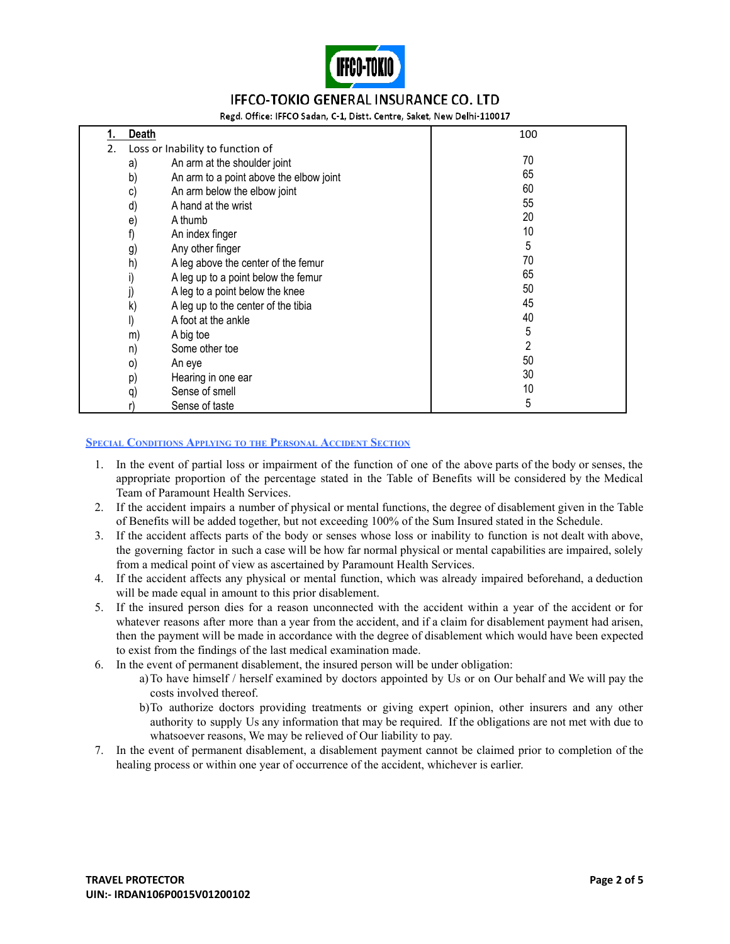

Regd. Office: IFFCO Sadan, C-1, Distt. Centre, Saket, New Delhi-110017

|    | Death                            |                                         | 100 |
|----|----------------------------------|-----------------------------------------|-----|
| 2. | Loss or Inability to function of |                                         |     |
|    | a)                               | An arm at the shoulder joint            | 70  |
|    | b)                               | An arm to a point above the elbow joint | 65  |
|    | C)                               | An arm below the elbow joint            | 60  |
|    | d)                               | A hand at the wrist                     | 55  |
|    | e)                               | A thumb                                 | 20  |
|    | f)                               | An index finger                         | 10  |
|    | g)                               | Any other finger                        | 5   |
|    | h)                               | A leg above the center of the femur     | 70  |
|    | I)                               | A leg up to a point below the femur     | 65  |
|    |                                  | A leg to a point below the knee         | 50  |
|    | k)                               | A leg up to the center of the tibia     | 45  |
|    | I)                               | A foot at the ankle                     | 40  |
|    | m)                               | A big toe                               | 5   |
|    | n)                               | Some other toe                          | 2   |
|    | $\circ)$                         | An eye                                  | 50  |
|    | p)                               | Hearing in one ear                      | 30  |
|    | q)                               | Sense of smell                          | 10  |
|    | r)                               | Sense of taste                          | 5   |

#### **SPECIAL CONDITIONS APPLYING TO THE PERSONAL ACCIDENT SECTION**

- 1. In the event of partial loss or impairment of the function of one of the above parts of the body or senses, the appropriate proportion of the percentage stated in the Table of Benefits will be considered by the Medical Team of Paramount Health Services.
- 2. If the accident impairs a number of physical or mental functions, the degree of disablement given in the Table of Benefits will be added together, but not exceeding 100% of the Sum Insured stated in the Schedule.
- 3. If the accident affects parts of the body or senses whose loss or inability to function is not dealt with above, the governing factor in such a case will be how far normal physical or mental capabilities are impaired, solely from a medical point of view as ascertained by Paramount Health Services.
- 4. If the accident affects any physical or mental function, which was already impaired beforehand, a deduction will be made equal in amount to this prior disablement.
- 5. If the insured person dies for a reason unconnected with the accident within a year of the accident or for whatever reasons after more than a year from the accident, and if a claim for disablement payment had arisen, then the payment will be made in accordance with the degree of disablement which would have been expected to exist from the findings of the last medical examination made.
- 6. In the event of permanent disablement, the insured person will be under obligation:
	- a)To have himself / herself examined by doctors appointed by Us or on Our behalf and We will pay the costs involved thereof.
	- b)To authorize doctors providing treatments or giving expert opinion, other insurers and any other authority to supply Us any information that may be required. If the obligations are not met with due to whatsoever reasons, We may be relieved of Our liability to pay.
- 7. In the event of permanent disablement, a disablement payment cannot be claimed prior to completion of the healing process or within one year of occurrence of the accident, whichever is earlier.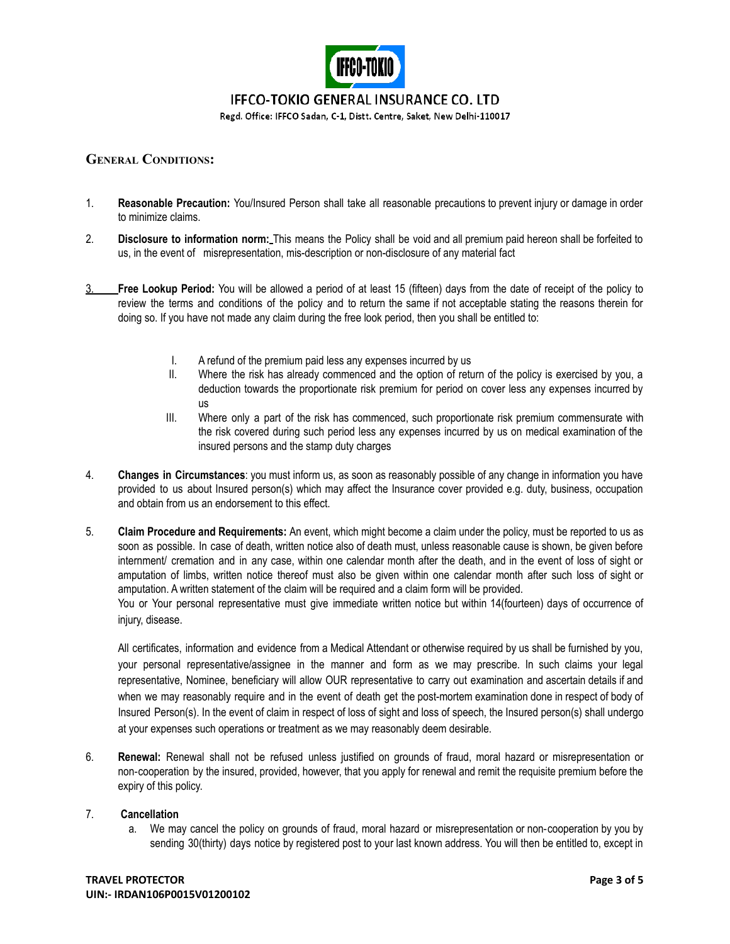

Regd. Office: IFFCO Sadan, C-1, Distt. Centre, Saket, New Delhi-110017

### **GENERAL CONDITIONS:**

- 1. **Reasonable Precaution:** You/Insured Person shall take all reasonable precautions to prevent injury or damage in order to minimize claims.
- 2. **Disclosure to information norm:** This means the Policy shall be void and all premium paid hereon shall be forfeited to us, in the event of misrepresentation, mis-description or non-disclosure of any material fact
- 3. **Free Lookup Period:** You will be allowed a period of at least 15 (fifteen) days from the date of receipt of the policy to review the terms and conditions of the policy and to return the same if not acceptable stating the reasons therein for doing so. If you have not made any claim during the free look period, then you shall be entitled to:
	- I. A refund of the premium paid less any expenses incurred by us
	- II. Where the risk has already commenced and the option of return of the policy is exercised by you, a deduction towards the proportionate risk premium for period on cover less any expenses incurred by us
	- III. Where only a part of the risk has commenced, such proportionate risk premium commensurate with the risk covered during such period less any expenses incurred by us on medical examination of the insured persons and the stamp duty charges
- 4. **Changes in Circumstances**: you must inform us, as soon as reasonably possible of any change in information you have provided to us about Insured person(s) which may affect the Insurance cover provided e.g. duty, business, occupation and obtain from us an endorsement to this effect.
- 5. **Claim Procedure and Requirements:** An event, which might become a claim under the policy, must be reported to us as soon as possible. In case of death, written notice also of death must, unless reasonable cause is shown, be given before internment/ cremation and in any case, within one calendar month after the death, and in the event of loss of sight or amputation of limbs, written notice thereof must also be given within one calendar month after such loss of sight or amputation. A written statement of the claim will be required and a claim form will be provided.

You or Your personal representative must give immediate written notice but within 14(fourteen) days of occurrence of iniury, disease.

All certificates, information and evidence from a Medical Attendant or otherwise required by us shall be furnished by you, your personal representative/assignee in the manner and form as we may prescribe. In such claims your legal representative, Nominee, beneficiary will allow OUR representative to carry out examination and ascertain details if and when we may reasonably require and in the event of death get the post-mortem examination done in respect of body of Insured Person(s). In the event of claim in respect of loss of sight and loss of speech, the Insured person(s) shall undergo at your expenses such operations or treatment as we may reasonably deem desirable.

6. **Renewal:** Renewal shall not be refused unless justified on grounds of fraud, moral hazard or misrepresentation or non‐cooperation by the insured, provided, however, that you apply for renewal and remit the requisite premium before the expiry of this policy.

#### 7. **Cancellation**

a. We may cancel the policy on grounds of fraud, moral hazard or misrepresentation or non‐cooperation by you by sending 30(thirty) days notice by registered post to your last known address. You will then be entitled to, except in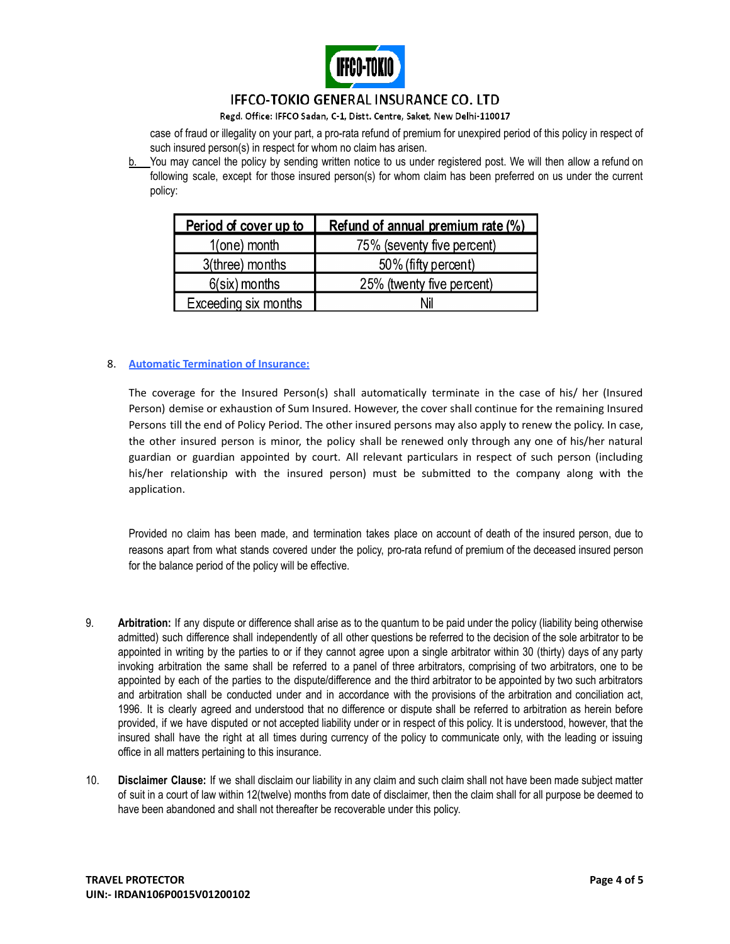

Regd. Office: IFFCO Sadan, C-1, Distt. Centre, Saket, New Delhi-110017

case of fraud or illegality on your part, a pro-rata refund of premium for unexpired period of this policy in respect of such insured person(s) in respect for whom no claim has arisen.

b. You may cancel the policy by sending written notice to us under registered post. We will then allow a refund on following scale, except for those insured person(s) for whom claim has been preferred on us under the current policy:

| Period of cover up to | Refund of annual premium rate (%) |
|-----------------------|-----------------------------------|
| $1$ (one) month       | 75% (seventy five percent)        |
| 3(three) months       | 50% (fifty percent)               |
| $6$ (six) months      | 25% (twenty five percent)         |
| Exceeding six months  | Nil                               |

### 8. **Automatic Termination of Insurance:**

The coverage for the Insured Person(s) shall automatically terminate in the case of his/ her (Insured Person) demise or exhaustion of Sum Insured. However, the cover shall continue for the remaining Insured Persons till the end of Policy Period. The other insured persons may also apply to renew the policy. In case, the other insured person is minor, the policy shall be renewed only through any one of his/her natural guardian or guardian appointed by court. All relevant particulars in respect of such person (including his/her relationship with the insured person) must be submitted to the company along with the application.

Provided no claim has been made, and termination takes place on account of death of the insured person, due to reasons apart from what stands covered under the policy, pro-rata refund of premium of the deceased insured person for the balance period of the policy will be effective.

- 9. **Arbitration:** If any dispute or difference shall arise as to the quantum to be paid under the policy (liability being otherwise admitted) such difference shall independently of all other questions be referred to the decision of the sole arbitrator to be appointed in writing by the parties to or if they cannot agree upon a single arbitrator within 30 (thirty) days of any party invoking arbitration the same shall be referred to a panel of three arbitrators, comprising of two arbitrators, one to be appointed by each of the parties to the dispute/difference and the third arbitrator to be appointed by two such arbitrators and arbitration shall be conducted under and in accordance with the provisions of the arbitration and conciliation act, 1996. It is clearly agreed and understood that no difference or dispute shall be referred to arbitration as herein before provided, if we have disputed or not accepted liability under or in respect of this policy. It is understood, however, that the insured shall have the right at all times during currency of the policy to communicate only, with the leading or issuing office in all matters pertaining to this insurance.
- 10. **Disclaimer Clause:** If we shall disclaim our liability in any claim and such claim shall not have been made subject matter of suit in a court of law within 12(twelve) months from date of disclaimer, then the claim shall for all purpose be deemed to have been abandoned and shall not thereafter be recoverable under this policy.